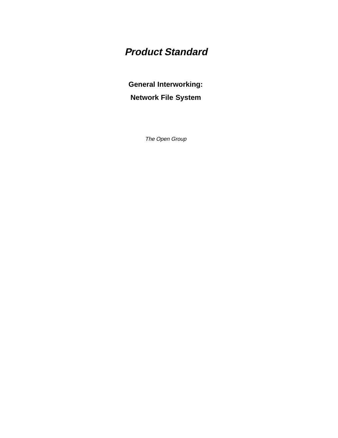# **Product Standard**

**General Interworking: Network File System**

The Open Group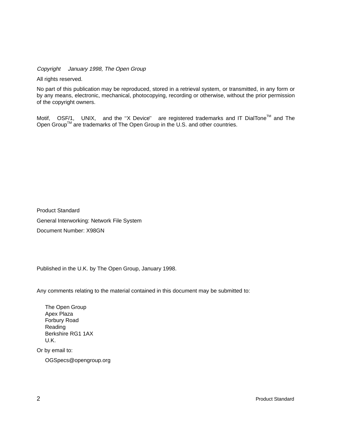Copyright  $\odot$  January 1998, The Open Group

All rights reserved.

No part of this publication may be reproduced, stored in a retrieval system, or transmitted, in any form or by any means, electronic, mechanical, photocopying, recording or otherwise, without the prior permission of the copyright owners.

Motif,  $^{\circledR}$  OSF/1,  $^{\circledR}$  UNIX,  $^{\circledR}$  and the "X Device" $^{\circledR}$  are registered trademarks and IT DialTone<sup>TM</sup> and The Open Group<sup>TM</sup> are trademarks of The Open Group in the U.S. and other countries.

Product Standard General Interworking: Network File System Document Number: X98GN

Published in the U.K. by The Open Group, January 1998.

Any comments relating to the material contained in this document may be submitted to:

The Open Group Apex Plaza Forbury Road Reading Berkshire RG1 1AX U.K.

Or by email to:

OGSpecs@opengroup.org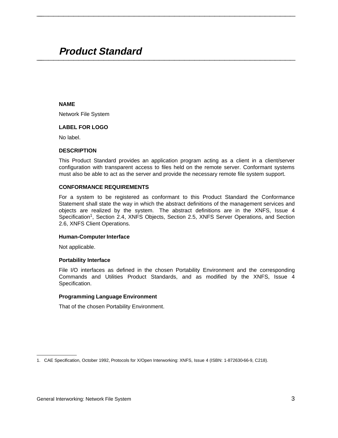# **Product Standard \_\_\_\_\_\_\_\_\_\_\_\_\_\_\_\_\_\_\_\_\_\_\_\_\_\_\_\_\_\_\_\_\_\_\_\_\_\_\_\_\_\_\_\_\_\_\_\_\_\_\_\_**

#### **NAME**

Network File System

#### **LABEL FOR LOGO**

No label.

#### **DESCRIPTION**

This Product Standard provides an application program acting as a client in a client/server configuration with transparent access to files held on the remote server. Conformant systems must also be able to act as the server and provide the necessary remote file system support.

**\_\_\_\_\_\_\_\_\_\_\_\_\_\_\_\_\_\_\_\_\_\_\_\_\_\_\_\_\_\_\_\_\_\_\_\_\_\_\_\_\_\_\_\_\_\_\_\_\_\_\_\_**

#### **CONFORMANCE REQUIREMENTS**

For a system to be registered as conformant to this Product Standard the Conformance Statement shall state the way in which the abstract definitions of the management services and objects are realized by the system. The abstract definitions are in the XNFS, Issue 4 Specification<sup>1</sup>, Section 2.4, XNFS Objects, Section 2.5, XNFS Server Operations, and Section 2.6, XNFS Client Operations.

#### **Human-Computer Interface**

Not applicable.

#### **Portability Interface**

File I/O interfaces as defined in the chosen Portability Environment and the corresponding Commands and Utilities Product Standards, and as modified by the XNFS, Issue 4 Specification.

#### **Programming Language Environment**

That of the chosen Portability Environment.

\_\_\_\_\_\_\_\_\_\_\_\_\_\_\_\_\_\_

<sup>1.</sup> CAE Specification, October 1992, Protocols for X/Open Interworking: XNFS, Issue 4 (ISBN: 1-872630-66-9, C218).